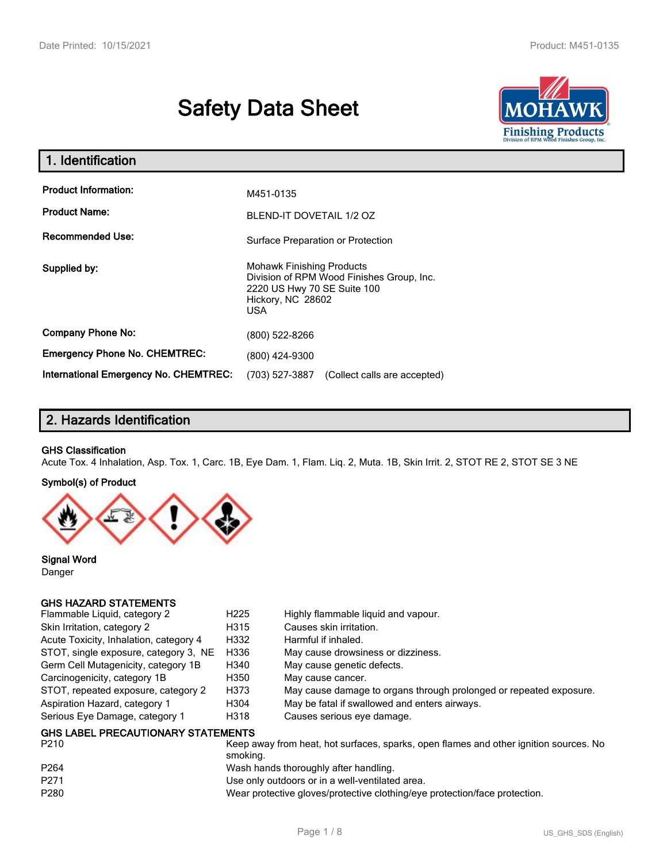# **Safety Data Sheet**



| 1. Identification                                   |                                                                                                                                                 |  |
|-----------------------------------------------------|-------------------------------------------------------------------------------------------------------------------------------------------------|--|
| <b>Product Information:</b><br><b>Product Name:</b> | M451-0135<br>BLEND-IT DOVETAIL 1/2 OZ                                                                                                           |  |
| <b>Recommended Use:</b>                             | Surface Preparation or Protection                                                                                                               |  |
| Supplied by:                                        | <b>Mohawk Finishing Products</b><br>Division of RPM Wood Finishes Group, Inc.<br>2220 US Hwy 70 SE Suite 100<br>Hickory, NC 28602<br><b>USA</b> |  |
| <b>Company Phone No:</b>                            | (800) 522-8266                                                                                                                                  |  |
| <b>Emergency Phone No. CHEMTREC:</b>                | (800) 424-9300                                                                                                                                  |  |
| <b>International Emergency No. CHEMTREC:</b>        | (703) 527-3887<br>(Collect calls are accepted)                                                                                                  |  |

# **2. Hazards Identification**

#### **GHS Classification**

Acute Tox. 4 Inhalation, Asp. Tox. 1, Carc. 1B, Eye Dam. 1, Flam. Liq. 2, Muta. 1B, Skin Irrit. 2, STOT RE 2, STOT SE 3 NE

#### **Symbol(s) of Product**



**Signal Word** Danger

## **GHS HAZARD STATEMENTS**

| Flammable Liquid, category 2              | H <sub>225</sub> | Highly flammable liquid and vapour.                                |
|-------------------------------------------|------------------|--------------------------------------------------------------------|
| Skin Irritation, category 2               | H315             | Causes skin irritation.                                            |
| Acute Toxicity, Inhalation, category 4    | H332             | Harmful if inhaled.                                                |
| STOT, single exposure, category 3, NE     | H336             | May cause drowsiness or dizziness.                                 |
| Germ Cell Mutagenicity, category 1B       | H340             | May cause genetic defects.                                         |
| Carcinogenicity, category 1B              | H350             | May cause cancer.                                                  |
| STOT, repeated exposure, category 2       | H373             | May cause damage to organs through prolonged or repeated exposure. |
| Aspiration Hazard, category 1             | H304             | May be fatal if swallowed and enters airways.                      |
| Serious Eye Damage, category 1            | H318             | Causes serious eye damage.                                         |
| <b>GHS LABEL PRECAUTIONARY STATEMENTS</b> |                  |                                                                    |

| P <sub>210</sub> | Keep away from heat, hot surfaces, sparks, open flames and other ignition sources. No<br>smoking. |
|------------------|---------------------------------------------------------------------------------------------------|
| P <sub>264</sub> | Wash hands thoroughly after handling.                                                             |
| P271             | Use only outdoors or in a well-ventilated area.                                                   |
| P <sub>280</sub> | Wear protective gloves/protective clothing/eye protection/face protection.                        |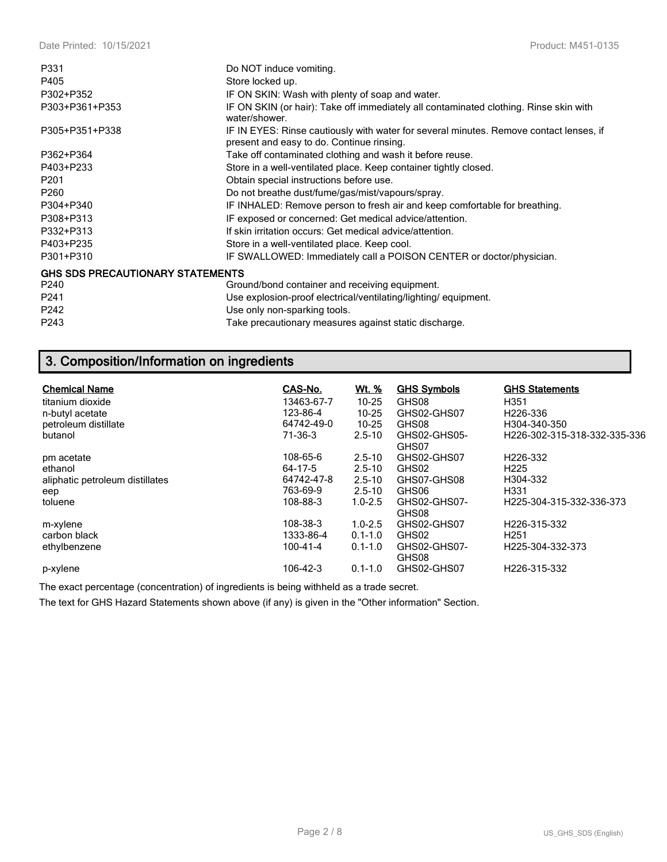| P331                                    | Do NOT induce vomiting.                                                                                                             |
|-----------------------------------------|-------------------------------------------------------------------------------------------------------------------------------------|
| P405                                    | Store locked up.                                                                                                                    |
| P302+P352                               | IF ON SKIN: Wash with plenty of soap and water.                                                                                     |
| P303+P361+P353                          | IF ON SKIN (or hair): Take off immediately all contaminated clothing. Rinse skin with<br>water/shower.                              |
| P305+P351+P338                          | IF IN EYES: Rinse cautiously with water for several minutes. Remove contact lenses, if<br>present and easy to do. Continue rinsing. |
| P362+P364                               | Take off contaminated clothing and wash it before reuse.                                                                            |
| P403+P233                               | Store in a well-ventilated place. Keep container tightly closed.                                                                    |
| P <sub>201</sub>                        | Obtain special instructions before use.                                                                                             |
| P <sub>260</sub>                        | Do not breathe dust/fume/gas/mist/vapours/spray.                                                                                    |
| P304+P340                               | IF INHALED: Remove person to fresh air and keep comfortable for breathing.                                                          |
| P308+P313                               | IF exposed or concerned: Get medical advice/attention.                                                                              |
| P332+P313                               | If skin irritation occurs: Get medical advice/attention.                                                                            |
| P403+P235                               | Store in a well-ventilated place. Keep cool.                                                                                        |
| P301+P310                               | IF SWALLOWED: Immediately call a POISON CENTER or doctor/physician.                                                                 |
| <b>GHS SDS PRECAUTIONARY STATEMENTS</b> |                                                                                                                                     |
| P <sub>240</sub>                        | Ground/bond container and receiving equipment.                                                                                      |
| P <sub>241</sub>                        | Use explosion-proof electrical/ventilating/lighting/equipment.                                                                      |
| P242                                    | Use only non-sparking tools.                                                                                                        |
| P243                                    | Take precautionary measures against static discharge.                                                                               |

# **3. Composition/Information on ingredients**

| <b>Chemical Name</b><br>titanium dioxide<br>n-butyl acetate<br>petroleum distillate<br>butanol | CAS-No.<br>13463-67-7<br>123-86-4<br>64742-49-0<br>$71-36-3$ | <u>Wt. %</u><br>$10 - 25$<br>$10 - 25$<br>$10 - 25$<br>$2.5 - 10$   | <b>GHS Symbols</b><br>GHS08<br>GHS02-GHS07<br>GHS08<br>GHS02-GHS05-<br>GHS07 | <b>GHS Statements</b><br>H351<br>H <sub>226</sub> -336<br>H304-340-350<br>H226-302-315-318-332-335-336 |
|------------------------------------------------------------------------------------------------|--------------------------------------------------------------|---------------------------------------------------------------------|------------------------------------------------------------------------------|--------------------------------------------------------------------------------------------------------|
| pm acetate<br>ethanol<br>aliphatic petroleum distillates<br>eep<br>toluene                     | 108-65-6<br>64-17-5<br>64742-47-8<br>763-69-9<br>108-88-3    | $2.5 - 10$<br>$2.5 - 10$<br>$2.5 - 10$<br>$2.5 - 10$<br>$1.0 - 2.5$ | GHS02-GHS07<br>GHS02<br>GHS07-GHS08<br>GHS06<br>GHS02-GHS07-<br>GHS08        | H <sub>226</sub> -332<br>H <sub>225</sub><br>H304-332<br>H <sub>331</sub><br>H225-304-315-332-336-373  |
| m-xylene<br>carbon black<br>ethylbenzene<br>p-xylene                                           | 108-38-3<br>1333-86-4<br>100-41-4<br>106-42-3                | $1.0 - 2.5$<br>$0.1 - 1.0$<br>$0.1 - 1.0$<br>$0.1 - 1.0$            | GHS02-GHS07<br>GHS02<br>GHS02-GHS07-<br>GHS08<br>GHS02-GHS07                 | H <sub>226</sub> -315-332<br>H <sub>251</sub><br>H <sub>225</sub> -304-332-373<br>H226-315-332         |

The exact percentage (concentration) of ingredients is being withheld as a trade secret.

The text for GHS Hazard Statements shown above (if any) is given in the "Other information" Section.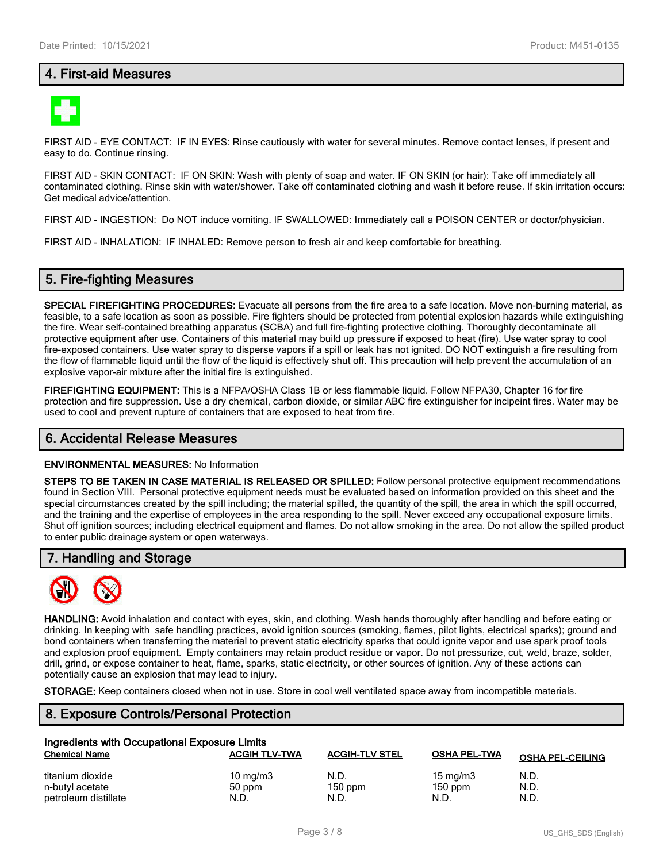## **4. First-aid Measures**



FIRST AID - EYE CONTACT: IF IN EYES: Rinse cautiously with water for several minutes. Remove contact lenses, if present and easy to do. Continue rinsing.

FIRST AID - SKIN CONTACT: IF ON SKIN: Wash with plenty of soap and water. IF ON SKIN (or hair): Take off immediately all contaminated clothing. Rinse skin with water/shower. Take off contaminated clothing and wash it before reuse. If skin irritation occurs: Get medical advice/attention.

FIRST AID - INGESTION: Do NOT induce vomiting. IF SWALLOWED: Immediately call a POISON CENTER or doctor/physician.

FIRST AID - INHALATION: IF INHALED: Remove person to fresh air and keep comfortable for breathing.

## **5. Fire-fighting Measures**

**SPECIAL FIREFIGHTING PROCEDURES:** Evacuate all persons from the fire area to a safe location. Move non-burning material, as feasible, to a safe location as soon as possible. Fire fighters should be protected from potential explosion hazards while extinguishing the fire. Wear self-contained breathing apparatus (SCBA) and full fire-fighting protective clothing. Thoroughly decontaminate all protective equipment after use. Containers of this material may build up pressure if exposed to heat (fire). Use water spray to cool fire-exposed containers. Use water spray to disperse vapors if a spill or leak has not ignited. DO NOT extinguish a fire resulting from the flow of flammable liquid until the flow of the liquid is effectively shut off. This precaution will help prevent the accumulation of an explosive vapor-air mixture after the initial fire is extinguished.

**FIREFIGHTING EQUIPMENT:** This is a NFPA/OSHA Class 1B or less flammable liquid. Follow NFPA30, Chapter 16 for fire protection and fire suppression. Use a dry chemical, carbon dioxide, or similar ABC fire extinguisher for incipeint fires. Water may be used to cool and prevent rupture of containers that are exposed to heat from fire.

### **6. Accidental Release Measures**

#### **ENVIRONMENTAL MEASURES:** No Information

**STEPS TO BE TAKEN IN CASE MATERIAL IS RELEASED OR SPILLED:** Follow personal protective equipment recommendations found in Section VIII. Personal protective equipment needs must be evaluated based on information provided on this sheet and the special circumstances created by the spill including; the material spilled, the quantity of the spill, the area in which the spill occurred, and the training and the expertise of employees in the area responding to the spill. Never exceed any occupational exposure limits. Shut off ignition sources; including electrical equipment and flames. Do not allow smoking in the area. Do not allow the spilled product to enter public drainage system or open waterways.

#### **7. Handling and Storage**



**HANDLING:** Avoid inhalation and contact with eyes, skin, and clothing. Wash hands thoroughly after handling and before eating or drinking. In keeping with safe handling practices, avoid ignition sources (smoking, flames, pilot lights, electrical sparks); ground and bond containers when transferring the material to prevent static electricity sparks that could ignite vapor and use spark proof tools and explosion proof equipment. Empty containers may retain product residue or vapor. Do not pressurize, cut, weld, braze, solder, drill, grind, or expose container to heat, flame, sparks, static electricity, or other sources of ignition. Any of these actions can potentially cause an explosion that may lead to injury.

**STORAGE:** Keep containers closed when not in use. Store in cool well ventilated space away from incompatible materials.

# **8. Exposure Controls/Personal Protection**

| Ingredients with Occupational Exposure Limits |                      |                       |                     |                         |  |
|-----------------------------------------------|----------------------|-----------------------|---------------------|-------------------------|--|
| <b>Chemical Name</b>                          | <b>ACGIH TLV-TWA</b> | <b>ACGIH-TLV STEL</b> | <b>OSHA PEL-TWA</b> | <b>OSHA PEL-CEILING</b> |  |
| titanium dioxide                              | 10 mg/m $3$          | N.D.                  | 15 mg/m $3$         | N.D.                    |  |
| n-butyl acetate                               | 50 ppm               | $150$ ppm             | $150$ ppm           | N.D.                    |  |
| petroleum distillate                          | N.D.                 | N.D.                  | N.D.                | N.D.                    |  |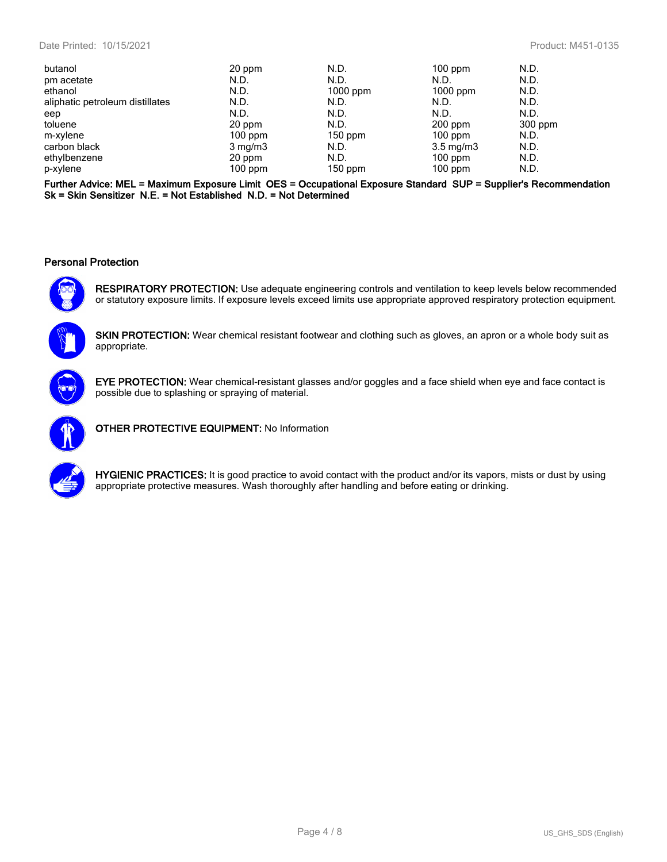| butanol                         | 20 ppm           | N.D.       | $100$ ppm          | N.D.    |
|---------------------------------|------------------|------------|--------------------|---------|
| pm acetate                      | N.D.             | N.D.       | N.D.               | N.D.    |
| ethanol                         | N.D.             | $1000$ ppm | $1000$ ppm         | N.D.    |
| aliphatic petroleum distillates | N.D.             | N.D.       | N.D.               | N.D.    |
| eep                             | N.D.             | N.D.       | N.D.               | N.D.    |
| toluene                         | 20 ppm           | N.D.       | $200$ ppm          | 300 ppm |
| m-xylene                        | $100$ ppm        | $150$ ppm  | $100$ ppm          | N.D.    |
| carbon black                    | $3 \text{ mg/m}$ | N.D.       | $3.5 \text{ mg/m}$ | N.D.    |
| ethylbenzene                    | 20 ppm           | N.D.       | $100$ ppm          | N.D.    |
| p-xylene                        | $100$ ppm        | $150$ ppm  | $100$ ppm          | N.D.    |

**Further Advice: MEL = Maximum Exposure Limit OES = Occupational Exposure Standard SUP = Supplier's Recommendation Sk = Skin Sensitizer N.E. = Not Established N.D. = Not Determined**

#### **Personal Protection**



**RESPIRATORY PROTECTION:** Use adequate engineering controls and ventilation to keep levels below recommended or statutory exposure limits. If exposure levels exceed limits use appropriate approved respiratory protection equipment.



**SKIN PROTECTION:** Wear chemical resistant footwear and clothing such as gloves, an apron or a whole body suit as appropriate.



**EYE PROTECTION:** Wear chemical-resistant glasses and/or goggles and a face shield when eye and face contact is possible due to splashing or spraying of material.



**OTHER PROTECTIVE EQUIPMENT:** No Information



**HYGIENIC PRACTICES:** It is good practice to avoid contact with the product and/or its vapors, mists or dust by using appropriate protective measures. Wash thoroughly after handling and before eating or drinking.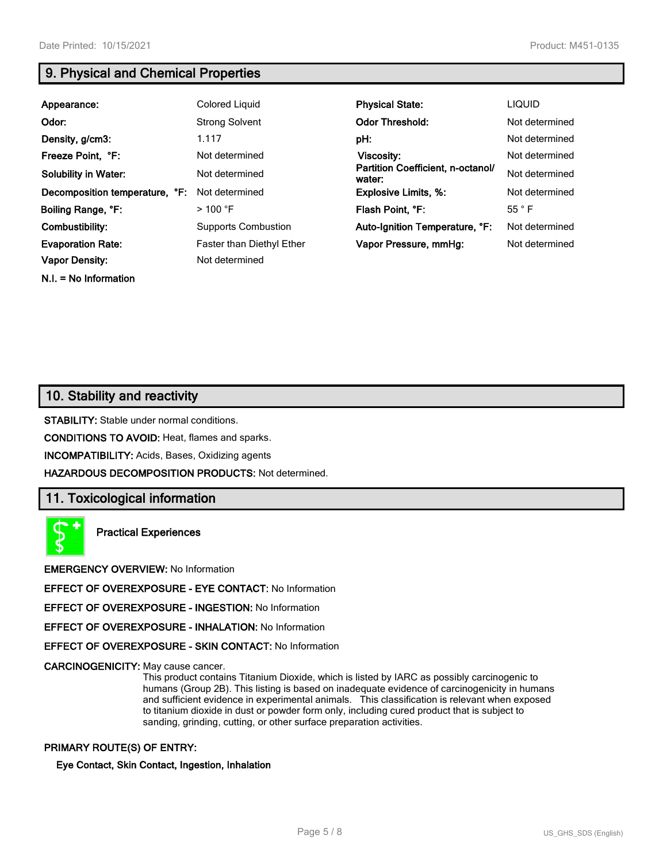**N.I. = No Information**

# **9. Physical and Chemical Properties**

| Appearance:                    | Colored Liquid             | <b>Physical State:</b>                      | <b>LIQUID</b>  |
|--------------------------------|----------------------------|---------------------------------------------|----------------|
| Odor:                          | <b>Strong Solvent</b>      | <b>Odor Threshold:</b>                      | Not determined |
| Density, g/cm3:                | 1.117                      | pH:                                         | Not determined |
| Freeze Point, °F:              | Not determined             | Viscosity:                                  | Not determined |
| <b>Solubility in Water:</b>    | Not determined             | Partition Coefficient, n-octanol/<br>water: | Not determined |
| Decomposition temperature, °F: | Not determined             | <b>Explosive Limits, %:</b>                 | Not determined |
| Boiling Range, °F:             | $>$ 100 °F                 | Flash Point, °F:                            | $55^{\circ}$ F |
| Combustibility:                | <b>Supports Combustion</b> | Auto-Ignition Temperature, °F:              | Not determined |
| <b>Evaporation Rate:</b>       | Faster than Diethyl Ether  | Vapor Pressure, mmHq:                       | Not determined |
| Vapor Density:                 | Not determined             |                                             |                |

# **10. Stability and reactivity**

**STABILITY:** Stable under normal conditions.

**CONDITIONS TO AVOID:** Heat, flames and sparks.

**INCOMPATIBILITY:** Acids, Bases, Oxidizing agents

**HAZARDOUS DECOMPOSITION PRODUCTS:** Not determined.

## **11. Toxicological information**

**Practical Experiences**

**EMERGENCY OVERVIEW:** No Information

**EFFECT OF OVEREXPOSURE - EYE CONTACT:** No Information

**EFFECT OF OVEREXPOSURE - INGESTION:** No Information

**EFFECT OF OVEREXPOSURE - INHALATION:** No Information

**EFFECT OF OVEREXPOSURE - SKIN CONTACT:** No Information

**CARCINOGENICITY:** May cause cancer.

This product contains Titanium Dioxide, which is listed by IARC as possibly carcinogenic to humans (Group 2B). This listing is based on inadequate evidence of carcinogenicity in humans and sufficient evidence in experimental animals. This classification is relevant when exposed to titanium dioxide in dust or powder form only, including cured product that is subject to sanding, grinding, cutting, or other surface preparation activities.

### **PRIMARY ROUTE(S) OF ENTRY:**

**Eye Contact, Skin Contact, Ingestion, Inhalation**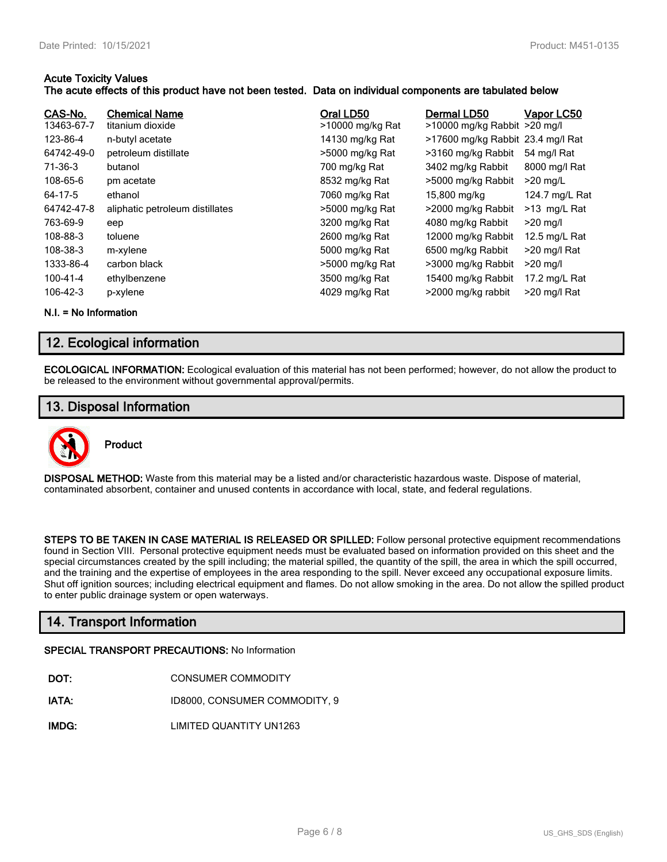## **Acute Toxicity Values**

## **The acute effects of this product have not been tested. Data on individual components are tabulated below**

| CAS-No.<br>13463-67-7 | <b>Chemical Name</b><br>titanium dioxide | Oral LD50<br>>10000 mg/kg Rat | Dermal LD50<br>>10000 mg/kg Rabbit >20 mg/l | Vapor LC50     |
|-----------------------|------------------------------------------|-------------------------------|---------------------------------------------|----------------|
| 123-86-4              | n-butyl acetate                          | 14130 mg/kg Rat               | >17600 mg/kg Rabbit 23.4 mg/l Rat           |                |
| 64742-49-0            | petroleum distillate                     | >5000 mg/kg Rat               | >3160 mg/kg Rabbit                          | 54 mg/l Rat    |
| 71-36-3               | butanol                                  | 700 mg/kg Rat                 | 3402 mg/kg Rabbit                           | 8000 mg/l Rat  |
| 108-65-6              | pm acetate                               | 8532 mg/kg Rat                | >5000 mg/kg Rabbit                          | $>20$ mg/L     |
| 64-17-5               | ethanol                                  | 7060 mg/kg Rat                | 15,800 mg/kg                                | 124.7 mg/L Rat |
| 64742-47-8            | aliphatic petroleum distillates          | >5000 mg/kg Rat               | >2000 mg/kg Rabbit                          | >13 mg/L Rat   |
| 763-69-9              | eep                                      | 3200 mg/kg Rat                | 4080 mg/kg Rabbit                           | $>20$ mg/l     |
| 108-88-3              | toluene                                  | 2600 mg/kg Rat                | 12000 mg/kg Rabbit                          | 12.5 mg/L Rat  |
| 108-38-3              | m-xylene                                 | 5000 mg/kg Rat                | 6500 mg/kg Rabbit                           | >20 mg/l Rat   |
| 1333-86-4             | carbon black                             | >5000 mg/kg Rat               | >3000 mg/kg Rabbit                          | $>20$ mg/l     |
| 100-41-4              | ethylbenzene                             | 3500 mg/kg Rat                | 15400 mg/kg Rabbit                          | 17.2 mg/L Rat  |
| 106-42-3              | p-xylene                                 | 4029 mg/kg Rat                | >2000 mg/kg rabbit                          | >20 mg/l Rat   |

**N.I. = No Information**

# **12. Ecological information**

**ECOLOGICAL INFORMATION:** Ecological evaluation of this material has not been performed; however, do not allow the product to be released to the environment without governmental approval/permits.

# **13. Disposal Information**



**DISPOSAL METHOD:** Waste from this material may be a listed and/or characteristic hazardous waste. Dispose of material, contaminated absorbent, container and unused contents in accordance with local, state, and federal regulations.

**STEPS TO BE TAKEN IN CASE MATERIAL IS RELEASED OR SPILLED:** Follow personal protective equipment recommendations found in Section VIII. Personal protective equipment needs must be evaluated based on information provided on this sheet and the special circumstances created by the spill including; the material spilled, the quantity of the spill, the area in which the spill occurred, and the training and the expertise of employees in the area responding to the spill. Never exceed any occupational exposure limits. Shut off ignition sources; including electrical equipment and flames. Do not allow smoking in the area. Do not allow the spilled product to enter public drainage system or open waterways.

# **14. Transport Information**

#### **SPECIAL TRANSPORT PRECAUTIONS:** No Information

- **IATA:** ID8000, CONSUMER COMMODITY, 9
- **IMDG:** LIMITED QUANTITY UN1263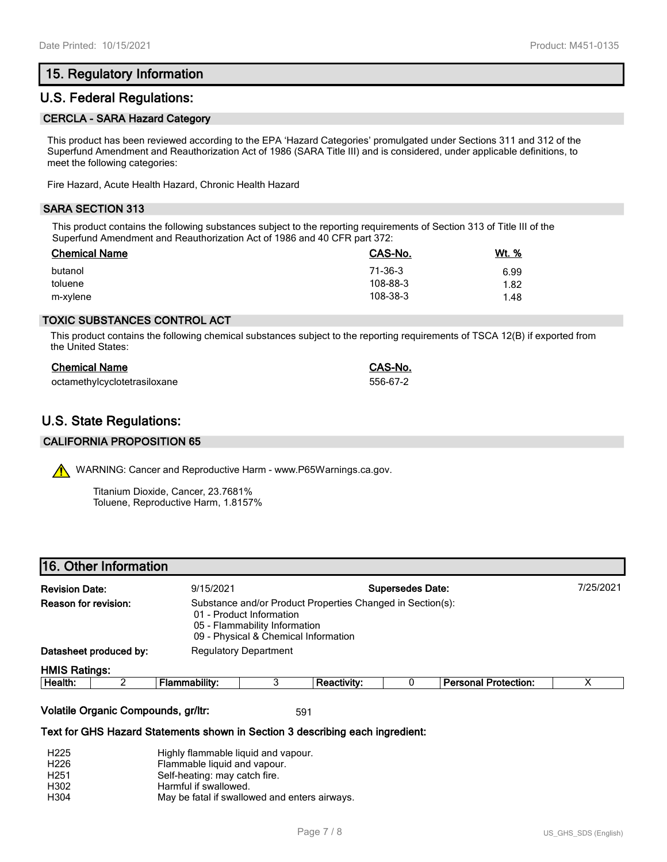# **15. Regulatory Information**

## **U.S. Federal Regulations:**

#### **CERCLA - SARA Hazard Category**

This product has been reviewed according to the EPA 'Hazard Categories' promulgated under Sections 311 and 312 of the Superfund Amendment and Reauthorization Act of 1986 (SARA Title III) and is considered, under applicable definitions, to meet the following categories:

Fire Hazard, Acute Health Hazard, Chronic Health Hazard

## **SARA SECTION 313**

This product contains the following substances subject to the reporting requirements of Section 313 of Title III of the Superfund Amendment and Reauthorization Act of 1986 and 40 CFR part 372:

| <b>Chemical Name</b> | CAS-No.  | <u>Wt. %</u> |
|----------------------|----------|--------------|
| butanol              | 71-36-3  | 6.99         |
| toluene              | 108-88-3 | 1.82         |
| m-xylene             | 108-38-3 | 1.48         |

## **TOXIC SUBSTANCES CONTROL ACT**

This product contains the following chemical substances subject to the reporting requirements of TSCA 12(B) if exported from the United States:

| <b>Chemical Name</b>         | CAS-No.  |
|------------------------------|----------|
| octamethylcyclotetrasiloxane | 556-67-2 |

# **U.S. State Regulations:**

#### **CALIFORNIA PROPOSITION 65**

WARNING: Cancer and Reproductive Harm - www.P65Warnings.ca.gov.

Titanium Dioxide, Cancer, 23.7681% Toluene, Reproductive Harm, 1.8157%

|  | 16. Other Information |  |
|--|-----------------------|--|
|  |                       |  |

| <b>Revision Date:</b><br>Reason for revision: |  | 9/15/2021                                                                                                                                                       |  | <b>Supersedes Date:</b> |  |                             | 7/25/2021 |
|-----------------------------------------------|--|-----------------------------------------------------------------------------------------------------------------------------------------------------------------|--|-------------------------|--|-----------------------------|-----------|
|                                               |  | Substance and/or Product Properties Changed in Section(s):<br>01 - Product Information<br>05 - Flammability Information<br>09 - Physical & Chemical Information |  |                         |  |                             |           |
| Datasheet produced by:                        |  | <b>Regulatory Department</b>                                                                                                                                    |  |                         |  |                             |           |
| <b>HMIS Ratings:</b>                          |  |                                                                                                                                                                 |  |                         |  |                             |           |
| Health:                                       |  | Flammability:                                                                                                                                                   |  | <b>Reactivity:</b>      |  | <b>Personal Protection:</b> | Х         |
|                                               |  |                                                                                                                                                                 |  |                         |  |                             |           |

#### **Volatile Organic Compounds, gr/ltr:** 591

#### **Text for GHS Hazard Statements shown in Section 3 describing each ingredient:**

| H <sub>225</sub> | Highly flammable liquid and vapour.           |
|------------------|-----------------------------------------------|
| H <sub>226</sub> | Flammable liquid and vapour.                  |
| H <sub>251</sub> | Self-heating: may catch fire.                 |
| H302             | Harmful if swallowed.                         |
| H304             | May be fatal if swallowed and enters airways. |